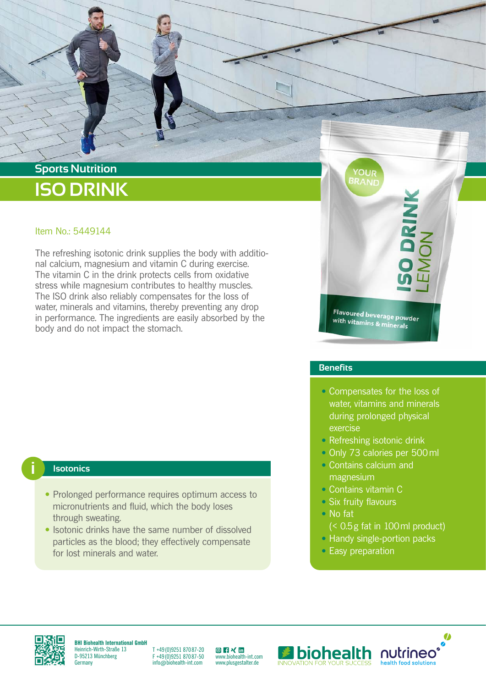# **Sports Nutrition ISO DRINK**

## Item No.: 5449144

The refreshing isotonic drink supplies the body with additional calcium, magnesium and vitamin C during exercise. The vitamin C in the drink protects cells from oxidative stress while magnesium contributes to healthy muscles. The ISO drink also reliably compensates for the loss of water, minerals and vitamins, thereby preventing any drop in performance. The ingredients are easily absorbed by the body and do not impact the stomach.

## **i Isotonics**

- Prolonged performance requires optimum access to micronutrients and fluid, which the body loses through sweating.
- Isotonic drinks have the same number of dissolved particles as the blood; they effectively compensate for lost minerals and water.

YOUR **BRAND** 

Flavoured beverage powder<br>with vitamins & minerals

#### **Benefits**

- Compensates for the loss of water, vitamins and minerals during prolonged physical exercise
- Refreshing isotonic drink
- Only 73 calories per 500 ml
- Contains calcium and magnesium
- Contains vitamin C
- Six fruity flavours
- No fat (< 0.5g fat in 100ml product)
- Handy single-portion packs
- Easy preparation



**BHI Biohealth International GmbH** Heinrich-Wirth-Straße 13 D-95213 Münchberg **Germany** 

T +49 (0)9251 870 87-20 F +49 (0)9251 870 87-50 info@biohealth-int.com

**◎ F × in**<br>[ww](https://www.instagram.com/biohealth.international/)[w.b](https://www.facebook.com/biohealth.international/)[iohe](https://www.xing.com/pages/biohealthinternationalgmbh)[alth-](https://www.linkedin.com/company/7256915/admin/)int.com www.plusgestalter.de